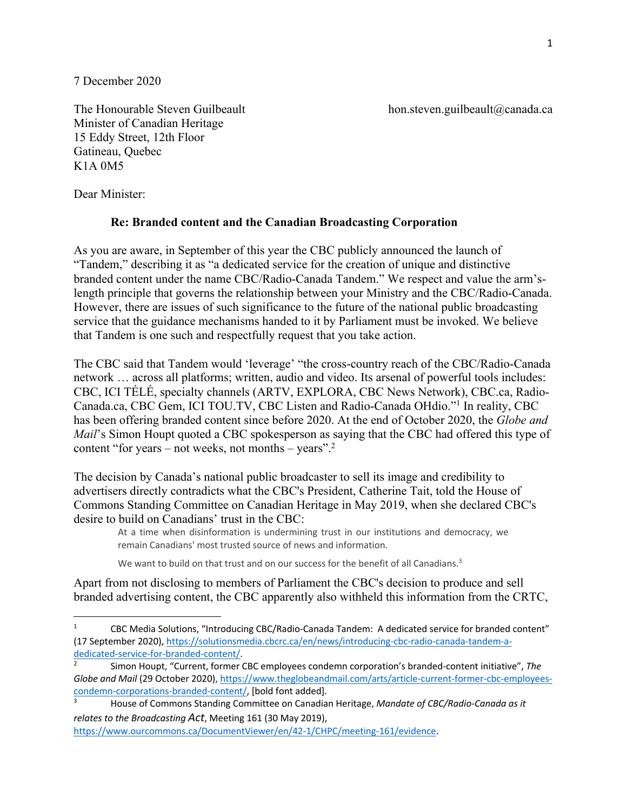7 December 2020

The Honourable Steven Guilbeault hon.steven.guilbeault hon.steven.guilbeault aca Minister of Canadian Heritage 15 Eddy Street, 12th Floor Gatineau, Quebec K1A 0M5

Dear Minister:

## **Re: Branded content and the Canadian Broadcasting Corporation**

As you are aware, in September of this year the CBC publicly announced the launch of "Tandem," describing it as "a dedicated service for the creation of unique and distinctive branded content under the name CBC/Radio-Canada Tandem." We respect and value the arm'slength principle that governs the relationship between your Ministry and the CBC/Radio-Canada. However, there are issues of such significance to the future of the national public broadcasting service that the guidance mechanisms handed to it by Parliament must be invoked. We believe that Tandem is one such and respectfully request that you take action.

The CBC said that Tandem would 'leverage' "the cross-country reach of the CBC/Radio-Canada network … across all platforms; written, audio and video. Its arsenal of powerful tools includes: CBC, ICI TÉLÉ, specialty channels (ARTV, EXPLORA, CBC News Network), CBC.ca, Radio-Canada.ca, CBC Gem, ICI TOU.TV, CBC Listen and Radio-Canada OHdio."1 In reality, CBC has been offering branded content since before 2020. At the end of October 2020, the *Globe and Mail*'s Simon Houpt quoted a CBC spokesperson as saying that the CBC had offered this type of content "for years – not weeks, not months – years".<sup>2</sup>

The decision by Canada's national public broadcaster to sell its image and credibility to advertisers directly contradicts what the CBC's President, Catherine Tait, told the House of Commons Standing Committee on Canadian Heritage in May 2019, when she declared CBC's desire to build on Canadians' trust in the CBC:

At a time when disinformation is undermining trust in our institutions and democracy, we remain Canadians' most trusted source of news and information.

We want to build on that trust and on our success for the benefit of all Canadians.<sup>3</sup>

Apart from not disclosing to members of Parliament the CBC's decision to produce and sell branded advertising content, the CBC apparently also withheld this information from the CRTC,

https://www.ourcommons.ca/DocumentViewer/en/42-1/CHPC/meeting-161/evidence.

<sup>1</sup> CBC Media Solutions, "Introducing CBC/Radio-Canada Tandem: A dedicated service for branded content" (17 September 2020), https://solutionsmedia.cbcrc.ca/en/news/introducing-cbc-radio-canada-tandem-adedicated-service-for-branded-content/.<br><sup>2</sup> Simon Houpt, "Current, former CBC employees condemn corporation's branded-content initiative", *The* 

*Globe and Mail* (29 October 2020), https://www.theglobeandmail.com/arts/article-current-former-cbc-employeescondemn-corporations-branded-content/, [bold font added].

<sup>3</sup> House of Commons Standing Committee on Canadian Heritage, *Mandate of CBC/Radio-Canada as it relates to the Broadcasting Act*, Meeting 161 (30 May 2019),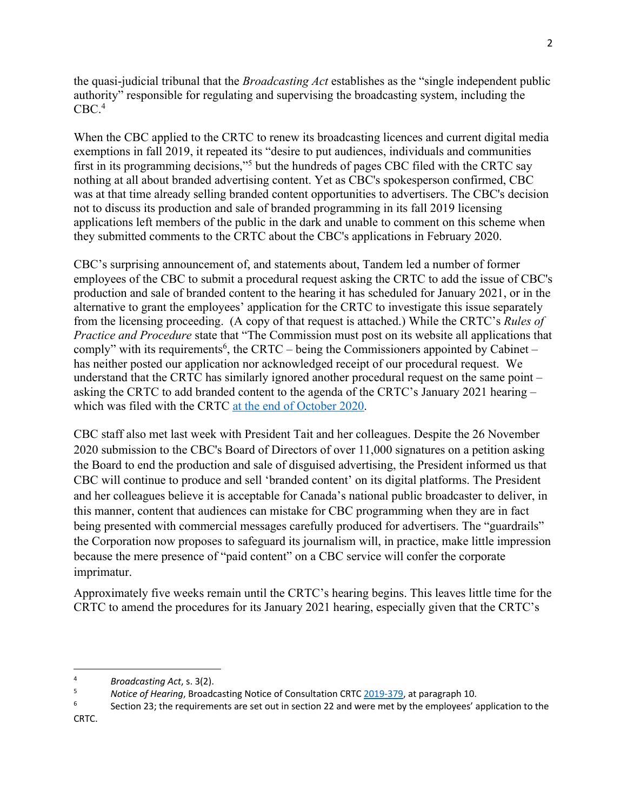the quasi-judicial tribunal that the *Broadcasting Act* establishes as the "single independent public authority" responsible for regulating and supervising the broadcasting system, including the  $CBC.<sup>4</sup>$ 

When the CBC applied to the CRTC to renew its broadcasting licences and current digital media exemptions in fall 2019, it repeated its "desire to put audiences, individuals and communities first in its programming decisions,"5 but the hundreds of pages CBC filed with the CRTC say nothing at all about branded advertising content. Yet as CBC's spokesperson confirmed, CBC was at that time already selling branded content opportunities to advertisers. The CBC's decision not to discuss its production and sale of branded programming in its fall 2019 licensing applications left members of the public in the dark and unable to comment on this scheme when they submitted comments to the CRTC about the CBC's applications in February 2020.

CBC's surprising announcement of, and statements about, Tandem led a number of former employees of the CBC to submit a procedural request asking the CRTC to add the issue of CBC's production and sale of branded content to the hearing it has scheduled for January 2021, or in the alternative to grant the employees' application for the CRTC to investigate this issue separately from the licensing proceeding. (A copy of that request is attached.) While the CRTC's *Rules of Practice and Procedure* state that "The Commission must post on its website all applications that comply" with its requirements<sup>6</sup>, the CRTC – being the Commissioners appointed by Cabinet – has neither posted our application nor acknowledged receipt of our procedural request. We understand that the CRTC has similarly ignored another procedural request on the same point – asking the CRTC to add branded content to the agenda of the CRTC's January 2021 hearing – which was filed with the CRTC at the end of October 2020.

CBC staff also met last week with President Tait and her colleagues. Despite the 26 November 2020 submission to the CBC's Board of Directors of over 11,000 signatures on a petition asking the Board to end the production and sale of disguised advertising, the President informed us that CBC will continue to produce and sell 'branded content' on its digital platforms. The President and her colleagues believe it is acceptable for Canada's national public broadcaster to deliver, in this manner, content that audiences can mistake for CBC programming when they are in fact being presented with commercial messages carefully produced for advertisers. The "guardrails" the Corporation now proposes to safeguard its journalism will, in practice, make little impression because the mere presence of "paid content" on a CBC service will confer the corporate imprimatur.

Approximately five weeks remain until the CRTC's hearing begins. This leaves little time for the CRTC to amend the procedures for its January 2021 hearing, especially given that the CRTC's

CRTC.

<sup>4</sup> *Broadcasting Act*, s. 3(2).

<sup>&</sup>lt;sup>5</sup> *Notice of Hearing*, Broadcasting Notice of Consultation CRTC 2019-379, at paragraph 10.

Section 23; the requirements are set out in section 22 and were met by the employees' application to the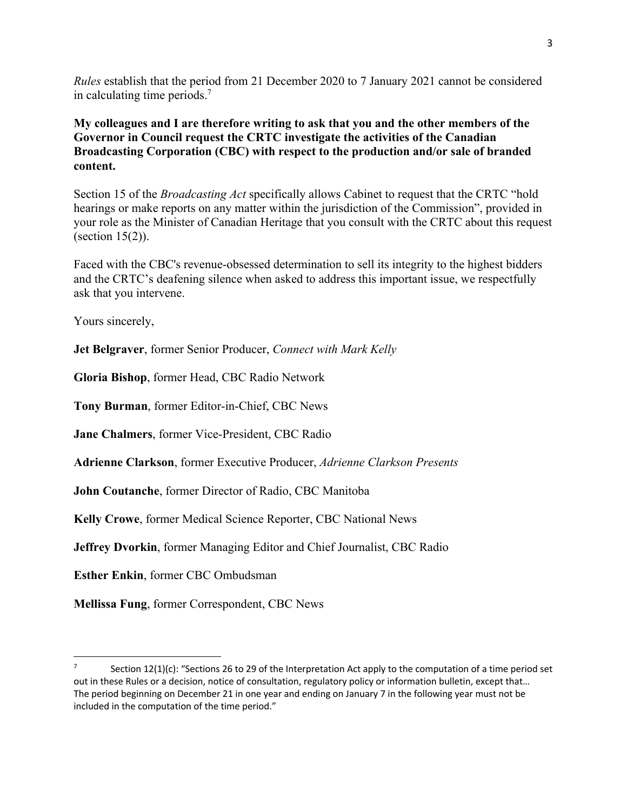*Rules* establish that the period from 21 December 2020 to 7 January 2021 cannot be considered in calculating time periods. 7

**My colleagues and I are therefore writing to ask that you and the other members of the Governor in Council request the CRTC investigate the activities of the Canadian Broadcasting Corporation (CBC) with respect to the production and/or sale of branded content.**

Section 15 of the *Broadcasting Act* specifically allows Cabinet to request that the CRTC "hold hearings or make reports on any matter within the jurisdiction of the Commission", provided in your role as the Minister of Canadian Heritage that you consult with the CRTC about this request (section 15(2)).

Faced with the CBC's revenue-obsessed determination to sell its integrity to the highest bidders and the CRTC's deafening silence when asked to address this important issue, we respectfully ask that you intervene.

Yours sincerely,

**Jet Belgraver**, former Senior Producer, *Connect with Mark Kelly*

**Gloria Bishop**, former Head, CBC Radio Network

**Tony Burman**, former Editor-in-Chief, CBC News

**Jane Chalmers**, former Vice-President, CBC Radio

**Adrienne Clarkson**, former Executive Producer, *Adrienne Clarkson Presents*

**John Coutanche**, former Director of Radio, CBC Manitoba

**Kelly Crowe**, former Medical Science Reporter, CBC National News

**Jeffrey Dvorkin**, former Managing Editor and Chief Journalist, CBC Radio

**Esther Enkin**, former CBC Ombudsman

**Mellissa Fung**, former Correspondent, CBC News

Section  $12(1)(c)$ : "Sections 26 to 29 of the Interpretation Act apply to the computation of a time period set out in these Rules or a decision, notice of consultation, regulatory policy or information bulletin, except that… The period beginning on December 21 in one year and ending on January 7 in the following year must not be included in the computation of the time period."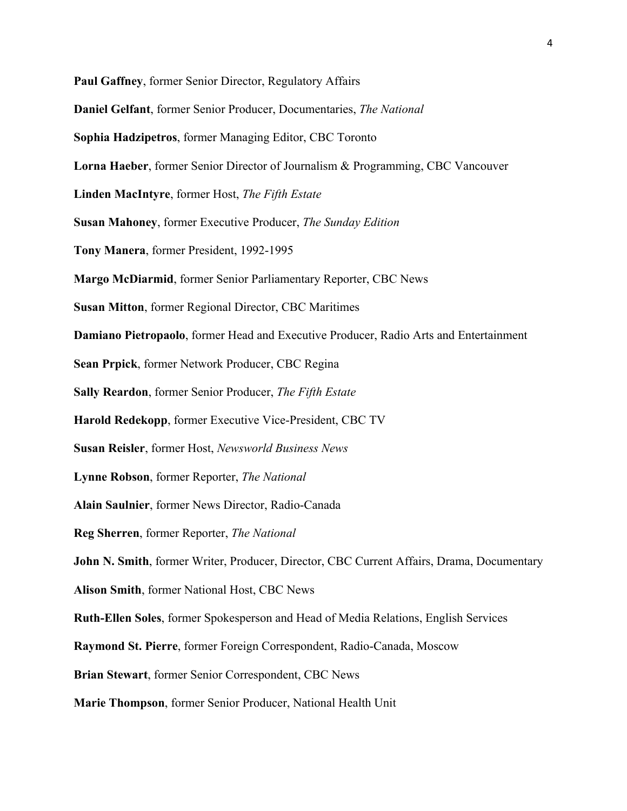**Paul Gaffney**, former Senior Director, Regulatory Affairs **Daniel Gelfant**, former Senior Producer, Documentaries, *The National* **Sophia Hadzipetros**, former Managing Editor, CBC Toronto **Lorna Haeber**, former Senior Director of Journalism & Programming, CBC Vancouver **Linden MacIntyre**, former Host, *The Fifth Estate* **Susan Mahoney**, former Executive Producer, *The Sunday Edition* **Tony Manera**, former President, 1992-1995 **Margo McDiarmid**, former Senior Parliamentary Reporter, CBC News **Susan Mitton**, former Regional Director, CBC Maritimes **Damiano Pietropaolo**, former Head and Executive Producer, Radio Arts and Entertainment **Sean Prpick**, former Network Producer, CBC Regina **Sally Reardon**, former Senior Producer, *The Fifth Estate* **Harold Redekopp**, former Executive Vice-President, CBC TV **Susan Reisler**, former Host, *Newsworld Business News* **Lynne Robson**, former Reporter, *The National* **Alain Saulnier**, former News Director, Radio-Canada **Reg Sherren**, former Reporter, *The National* **John N. Smith**, former Writer, Producer, Director, CBC Current Affairs, Drama, Documentary **Alison Smith**, former National Host, CBC News **Ruth-Ellen Soles**, former Spokesperson and Head of Media Relations, English Services **Raymond St. Pierre**, former Foreign Correspondent, Radio-Canada, Moscow **Brian Stewart**, former Senior Correspondent, CBC News **Marie Thompson**, former Senior Producer, National Health Unit